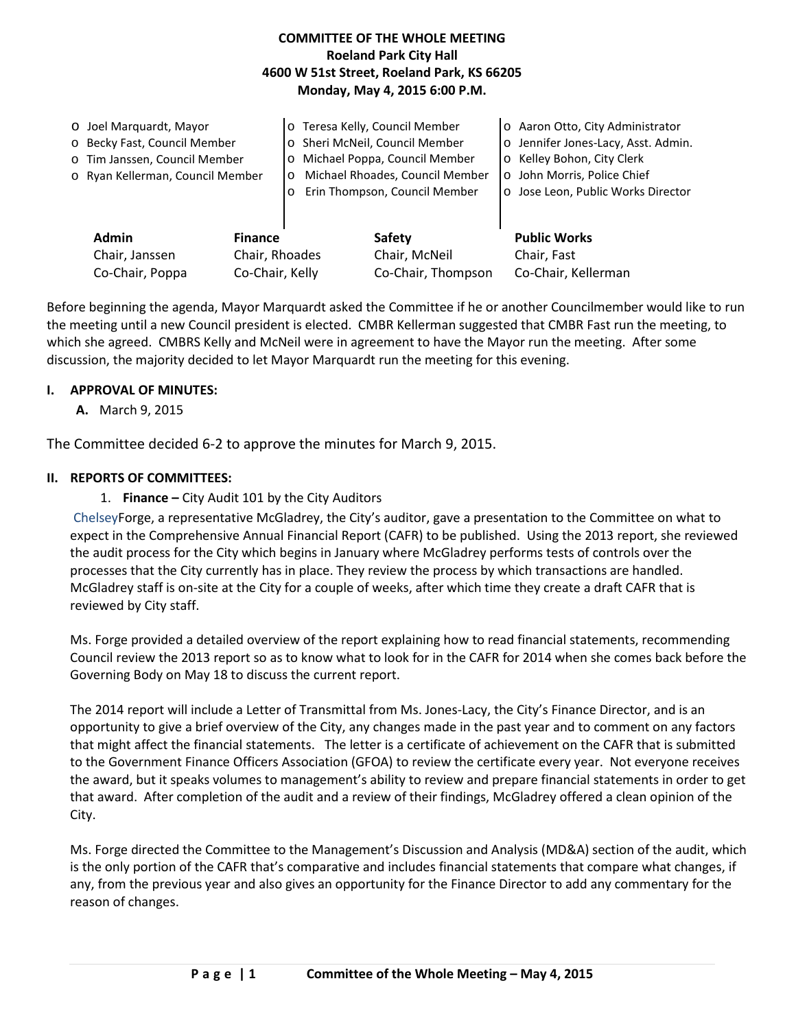### **COMMITTEE OF THE WHOLE MEETING Roeland Park City Hall 4600 W 51st Street, Roeland Park, KS 66205 Monday, May 4, 2015 6:00 P.M.**

|                                    | O Joel Marquardt, Mayor<br>o Becky Fast, Council Member<br>o Tim Janssen, Council Member<br>o Ryan Kellerman, Council Member |                                  | o Teresa Kelly, Council Member<br>o Sheri McNeil, Council Member<br>o Michael Poppa, Council Member<br>Michael Rhoades, Council Member<br>$\circ$<br>Erin Thompson, Council Member<br>$\circ$ |                                | $\circ$<br>$\circ$ | o Aaron Otto, City Administrator<br>Jennifer Jones-Lacy, Asst. Admin.<br>o Kelley Bohon, City Clerk<br>John Morris, Police Chief<br>o Jose Leon, Public Works Director |
|------------------------------------|------------------------------------------------------------------------------------------------------------------------------|----------------------------------|-----------------------------------------------------------------------------------------------------------------------------------------------------------------------------------------------|--------------------------------|--------------------|------------------------------------------------------------------------------------------------------------------------------------------------------------------------|
|                                    | <b>Admin</b><br>Chair, Janssen                                                                                               | <b>Finance</b><br>Chair, Rhoades |                                                                                                                                                                                               | <b>Safety</b><br>Chair, McNeil |                    | <b>Public Works</b><br>Chair, Fast                                                                                                                                     |
| Co-Chair, Poppa<br>Co-Chair, Kelly |                                                                                                                              |                                  |                                                                                                                                                                                               | Co-Chair, Thompson             |                    | Co-Chair, Kellerman                                                                                                                                                    |

Before beginning the agenda, Mayor Marquardt asked the Committee if he or another Councilmember would like to run the meeting until a new Council president is elected. CMBR Kellerman suggested that CMBR Fast run the meeting, to which she agreed. CMBRS Kelly and McNeil were in agreement to have the Mayor run the meeting. After some discussion, the majority decided to let Mayor Marquardt run the meeting for this evening.

#### **I. APPROVAL OF MINUTES:**

**A.** March 9, 2015

The Committee decided 6-2 to approve the minutes for March 9, 2015.

#### **II. REPORTS OF COMMITTEES:**

1. **Finance –** City Audit 101 by the City Auditors

ChelseyForge, a representative McGladrey, the City's auditor, gave a presentation to the Committee on what to expect in the Comprehensive Annual Financial Report (CAFR) to be published. Using the 2013 report, she reviewed the audit process for the City which begins in January where McGladrey performs tests of controls over the processes that the City currently has in place. They review the process by which transactions are handled. McGladrey staff is on-site at the City for a couple of weeks, after which time they create a draft CAFR that is reviewed by City staff.

Ms. Forge provided a detailed overview of the report explaining how to read financial statements, recommending Council review the 2013 report so as to know what to look for in the CAFR for 2014 when she comes back before the Governing Body on May 18 to discuss the current report.

The 2014 report will include a Letter of Transmittal from Ms. Jones-Lacy, the City's Finance Director, and is an opportunity to give a brief overview of the City, any changes made in the past year and to comment on any factors that might affect the financial statements. The letter is a certificate of achievement on the CAFR that is submitted to the Government Finance Officers Association (GFOA) to review the certificate every year. Not everyone receives the award, but it speaks volumes to management's ability to review and prepare financial statements in order to get that award. After completion of the audit and a review of their findings, McGladrey offered a clean opinion of the City.

Ms. Forge directed the Committee to the Management's Discussion and Analysis (MD&A) section of the audit, which is the only portion of the CAFR that's comparative and includes financial statements that compare what changes, if any, from the previous year and also gives an opportunity for the Finance Director to add any commentary for the reason of changes.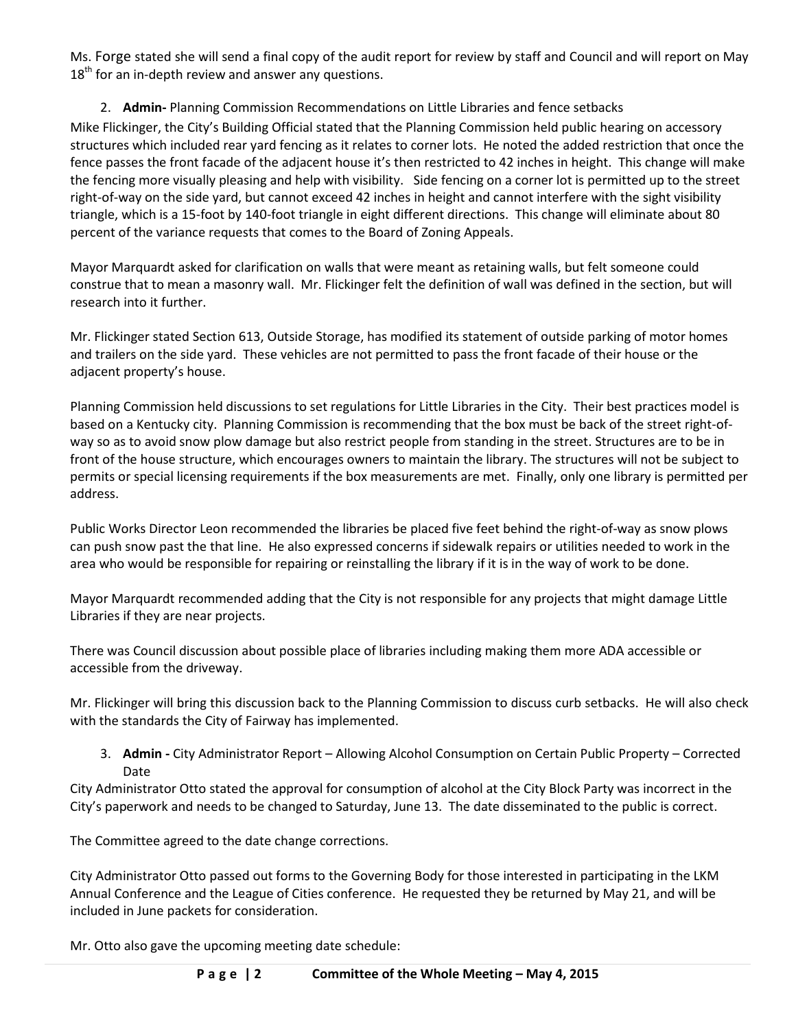Ms. Forge stated she will send a final copy of the audit report for review by staff and Council and will report on May  $18<sup>th</sup>$  for an in-depth review and answer any questions.

## 2. **Admin-** Planning Commission Recommendations on Little Libraries and fence setbacks

Mike Flickinger, the City's Building Official stated that the Planning Commission held public hearing on accessory structures which included rear yard fencing as it relates to corner lots. He noted the added restriction that once the fence passes the front facade of the adjacent house it's then restricted to 42 inches in height. This change will make the fencing more visually pleasing and help with visibility. Side fencing on a corner lot is permitted up to the street right-of-way on the side yard, but cannot exceed 42 inches in height and cannot interfere with the sight visibility triangle, which is a 15-foot by 140-foot triangle in eight different directions. This change will eliminate about 80 percent of the variance requests that comes to the Board of Zoning Appeals.

Mayor Marquardt asked for clarification on walls that were meant as retaining walls, but felt someone could construe that to mean a masonry wall. Mr. Flickinger felt the definition of wall was defined in the section, but will research into it further.

Mr. Flickinger stated Section 613, Outside Storage, has modified its statement of outside parking of motor homes and trailers on the side yard. These vehicles are not permitted to pass the front facade of their house or the adjacent property's house.

Planning Commission held discussions to set regulations for Little Libraries in the City. Their best practices model is based on a Kentucky city. Planning Commission is recommending that the box must be back of the street right-ofway so as to avoid snow plow damage but also restrict people from standing in the street. Structures are to be in front of the house structure, which encourages owners to maintain the library. The structures will not be subject to permits or special licensing requirements if the box measurements are met. Finally, only one library is permitted per address.

Public Works Director Leon recommended the libraries be placed five feet behind the right-of-way as snow plows can push snow past the that line. He also expressed concerns if sidewalk repairs or utilities needed to work in the area who would be responsible for repairing or reinstalling the library if it is in the way of work to be done.

Mayor Marquardt recommended adding that the City is not responsible for any projects that might damage Little Libraries if they are near projects.

There was Council discussion about possible place of libraries including making them more ADA accessible or accessible from the driveway.

Mr. Flickinger will bring this discussion back to the Planning Commission to discuss curb setbacks. He will also check with the standards the City of Fairway has implemented.

3. **Admin -** City Administrator Report – Allowing Alcohol Consumption on Certain Public Property – Corrected Date

City Administrator Otto stated the approval for consumption of alcohol at the City Block Party was incorrect in the City's paperwork and needs to be changed to Saturday, June 13. The date disseminated to the public is correct.

The Committee agreed to the date change corrections.

City Administrator Otto passed out forms to the Governing Body for those interested in participating in the LKM Annual Conference and the League of Cities conference. He requested they be returned by May 21, and will be included in June packets for consideration.

Mr. Otto also gave the upcoming meeting date schedule: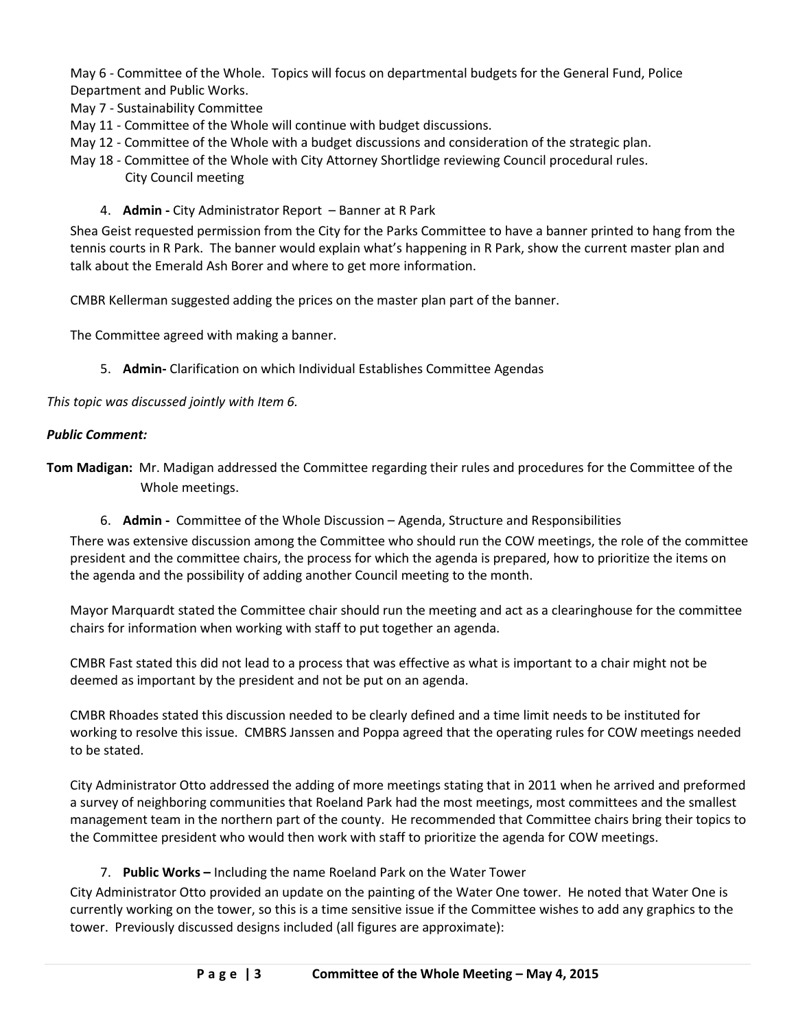May 6 - Committee of the Whole. Topics will focus on departmental budgets for the General Fund, Police Department and Public Works.

May 7 - Sustainability Committee

- May 11 Committee of the Whole will continue with budget discussions.
- May 12 Committee of the Whole with a budget discussions and consideration of the strategic plan.
- May 18 Committee of the Whole with City Attorney Shortlidge reviewing Council procedural rules. City Council meeting
	- 4. **Admin -** City Administrator Report Banner at R Park

Shea Geist requested permission from the City for the Parks Committee to have a banner printed to hang from the tennis courts in R Park. The banner would explain what's happening in R Park, show the current master plan and talk about the Emerald Ash Borer and where to get more information.

CMBR Kellerman suggested adding the prices on the master plan part of the banner.

The Committee agreed with making a banner.

5. **Admin-** Clarification on which Individual Establishes Committee Agendas

*This topic was discussed jointly with Item 6.* 

#### *Public Comment:*

- **Tom Madigan:** Mr. Madigan addressed the Committee regarding their rules and procedures for the Committee of the Whole meetings.
	- 6. **Admin** Committee of the Whole Discussion Agenda, Structure and Responsibilities

There was extensive discussion among the Committee who should run the COW meetings, the role of the committee president and the committee chairs, the process for which the agenda is prepared, how to prioritize the items on the agenda and the possibility of adding another Council meeting to the month.

Mayor Marquardt stated the Committee chair should run the meeting and act as a clearinghouse for the committee chairs for information when working with staff to put together an agenda.

CMBR Fast stated this did not lead to a process that was effective as what is important to a chair might not be deemed as important by the president and not be put on an agenda.

CMBR Rhoades stated this discussion needed to be clearly defined and a time limit needs to be instituted for working to resolve this issue. CMBRS Janssen and Poppa agreed that the operating rules for COW meetings needed to be stated.

City Administrator Otto addressed the adding of more meetings stating that in 2011 when he arrived and preformed a survey of neighboring communities that Roeland Park had the most meetings, most committees and the smallest management team in the northern part of the county. He recommended that Committee chairs bring their topics to the Committee president who would then work with staff to prioritize the agenda for COW meetings.

### 7. **Public Works –** Including the name Roeland Park on the Water Tower

City Administrator Otto provided an update on the painting of the Water One tower. He noted that Water One is currently working on the tower, so this is a time sensitive issue if the Committee wishes to add any graphics to the tower. Previously discussed designs included (all figures are approximate):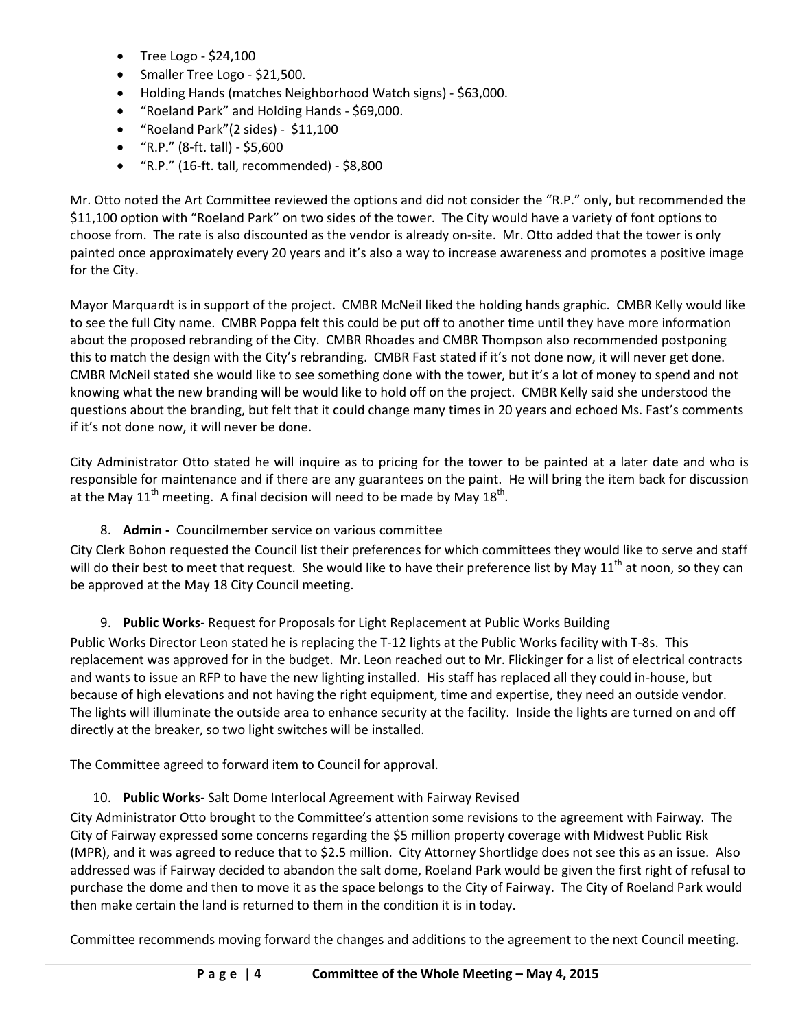- Tree Logo \$24,100
- Smaller Tree Logo \$21,500.
- Holding Hands (matches Neighborhood Watch signs) \$63,000.
- "Roeland Park" and Holding Hands \$69,000.
- "Roeland Park"(2 sides) \$11,100
- $"R.P."$  (8-ft. tall) \$5,600
- "R.P." (16-ft. tall, recommended) \$8,800

Mr. Otto noted the Art Committee reviewed the options and did not consider the "R.P." only, but recommended the \$11,100 option with "Roeland Park" on two sides of the tower. The City would have a variety of font options to choose from. The rate is also discounted as the vendor is already on-site. Mr. Otto added that the tower is only painted once approximately every 20 years and it's also a way to increase awareness and promotes a positive image for the City.

Mayor Marquardt is in support of the project. CMBR McNeil liked the holding hands graphic. CMBR Kelly would like to see the full City name. CMBR Poppa felt this could be put off to another time until they have more information about the proposed rebranding of the City. CMBR Rhoades and CMBR Thompson also recommended postponing this to match the design with the City's rebranding. CMBR Fast stated if it's not done now, it will never get done. CMBR McNeil stated she would like to see something done with the tower, but it's a lot of money to spend and not knowing what the new branding will be would like to hold off on the project. CMBR Kelly said she understood the questions about the branding, but felt that it could change many times in 20 years and echoed Ms. Fast's comments if it's not done now, it will never be done.

City Administrator Otto stated he will inquire as to pricing for the tower to be painted at a later date and who is responsible for maintenance and if there are any guarantees on the paint. He will bring the item back for discussion at the May 11<sup>th</sup> meeting. A final decision will need to be made by May 18<sup>th</sup>.

8. **Admin -** Councilmember service on various committee

City Clerk Bohon requested the Council list their preferences for which committees they would like to serve and staff will do their best to meet that request. She would like to have their preference list by May 11<sup>th</sup> at noon, so they can be approved at the May 18 City Council meeting.

### 9. **Public Works-** Request for Proposals for Light Replacement at Public Works Building

Public Works Director Leon stated he is replacing the T-12 lights at the Public Works facility with T-8s. This replacement was approved for in the budget. Mr. Leon reached out to Mr. Flickinger for a list of electrical contracts and wants to issue an RFP to have the new lighting installed. His staff has replaced all they could in-house, but because of high elevations and not having the right equipment, time and expertise, they need an outside vendor. The lights will illuminate the outside area to enhance security at the facility. Inside the lights are turned on and off directly at the breaker, so two light switches will be installed.

The Committee agreed to forward item to Council for approval.

### 10. **Public Works-** Salt Dome Interlocal Agreement with Fairway Revised

City Administrator Otto brought to the Committee's attention some revisions to the agreement with Fairway. The City of Fairway expressed some concerns regarding the \$5 million property coverage with Midwest Public Risk (MPR), and it was agreed to reduce that to \$2.5 million. City Attorney Shortlidge does not see this as an issue. Also addressed was if Fairway decided to abandon the salt dome, Roeland Park would be given the first right of refusal to purchase the dome and then to move it as the space belongs to the City of Fairway. The City of Roeland Park would then make certain the land is returned to them in the condition it is in today.

Committee recommends moving forward the changes and additions to the agreement to the next Council meeting.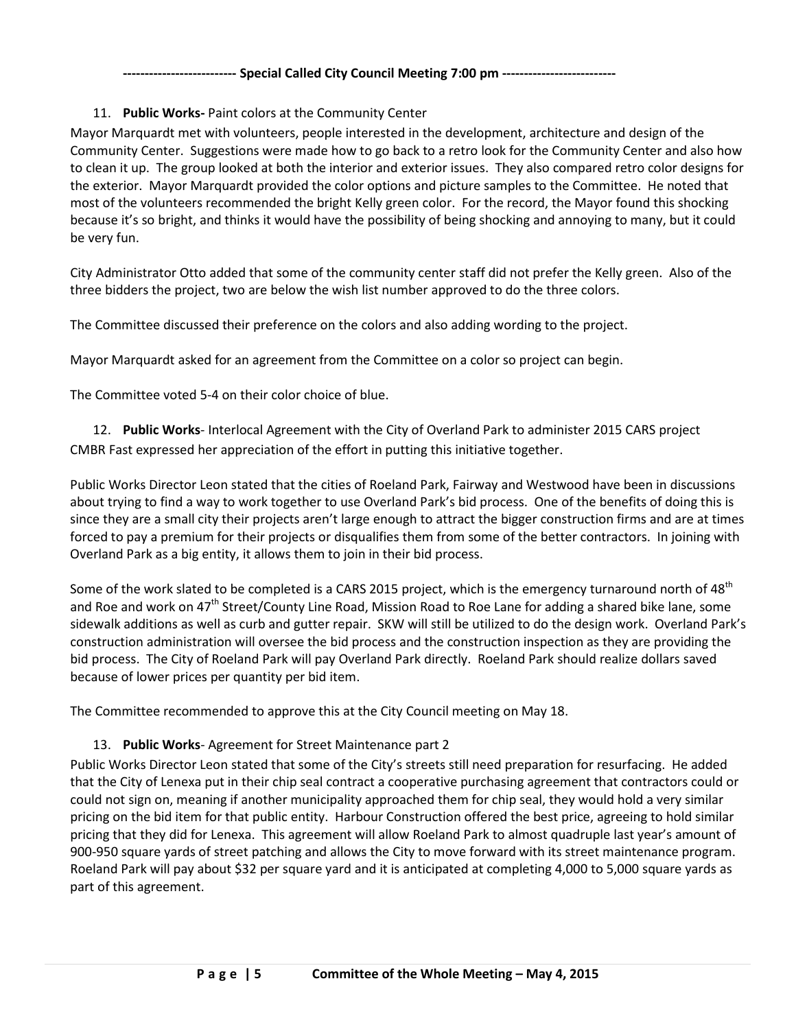### **-------------------------- Special Called City Council Meeting 7:00 pm --------------------------**

### 11. **Public Works-** Paint colors at the Community Center

Mayor Marquardt met with volunteers, people interested in the development, architecture and design of the Community Center. Suggestions were made how to go back to a retro look for the Community Center and also how to clean it up. The group looked at both the interior and exterior issues. They also compared retro color designs for the exterior. Mayor Marquardt provided the color options and picture samples to the Committee. He noted that most of the volunteers recommended the bright Kelly green color. For the record, the Mayor found this shocking because it's so bright, and thinks it would have the possibility of being shocking and annoying to many, but it could be very fun.

City Administrator Otto added that some of the community center staff did not prefer the Kelly green. Also of the three bidders the project, two are below the wish list number approved to do the three colors.

The Committee discussed their preference on the colors and also adding wording to the project.

Mayor Marquardt asked for an agreement from the Committee on a color so project can begin.

The Committee voted 5-4 on their color choice of blue.

12. **Public Works**- Interlocal Agreement with the City of Overland Park to administer 2015 CARS project CMBR Fast expressed her appreciation of the effort in putting this initiative together.

Public Works Director Leon stated that the cities of Roeland Park, Fairway and Westwood have been in discussions about trying to find a way to work together to use Overland Park's bid process. One of the benefits of doing this is since they are a small city their projects aren't large enough to attract the bigger construction firms and are at times forced to pay a premium for their projects or disqualifies them from some of the better contractors. In joining with Overland Park as a big entity, it allows them to join in their bid process.

Some of the work slated to be completed is a CARS 2015 project, which is the emergency turnaround north of 48<sup>th</sup> and Roe and work on 47<sup>th</sup> Street/County Line Road, Mission Road to Roe Lane for adding a shared bike lane, some sidewalk additions as well as curb and gutter repair. SKW will still be utilized to do the design work. Overland Park's construction administration will oversee the bid process and the construction inspection as they are providing the bid process. The City of Roeland Park will pay Overland Park directly. Roeland Park should realize dollars saved because of lower prices per quantity per bid item.

The Committee recommended to approve this at the City Council meeting on May 18.

### 13. **Public Works**- Agreement for Street Maintenance part 2

Public Works Director Leon stated that some of the City's streets still need preparation for resurfacing. He added that the City of Lenexa put in their chip seal contract a cooperative purchasing agreement that contractors could or could not sign on, meaning if another municipality approached them for chip seal, they would hold a very similar pricing on the bid item for that public entity. Harbour Construction offered the best price, agreeing to hold similar pricing that they did for Lenexa. This agreement will allow Roeland Park to almost quadruple last year's amount of 900-950 square yards of street patching and allows the City to move forward with its street maintenance program. Roeland Park will pay about \$32 per square yard and it is anticipated at completing 4,000 to 5,000 square yards as part of this agreement.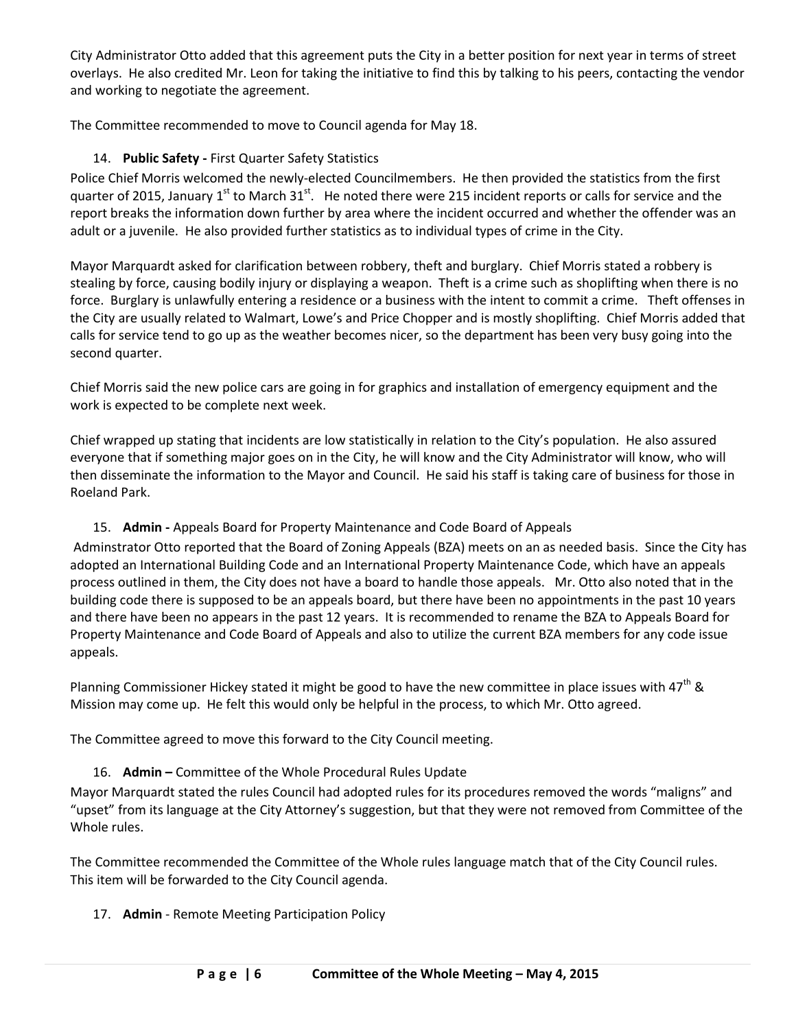City Administrator Otto added that this agreement puts the City in a better position for next year in terms of street overlays. He also credited Mr. Leon for taking the initiative to find this by talking to his peers, contacting the vendor and working to negotiate the agreement.

The Committee recommended to move to Council agenda for May 18.

# 14. **Public Safety -** First Quarter Safety Statistics

Police Chief Morris welcomed the newly-elected Councilmembers. He then provided the statistics from the first quarter of 2015, January 1<sup>st</sup> to March 31<sup>st</sup>. He noted there were 215 incident reports or calls for service and the report breaks the information down further by area where the incident occurred and whether the offender was an adult or a juvenile. He also provided further statistics as to individual types of crime in the City.

Mayor Marquardt asked for clarification between robbery, theft and burglary. Chief Morris stated a robbery is stealing by force, causing bodily injury or displaying a weapon. Theft is a crime such as shoplifting when there is no force. Burglary is unlawfully entering a residence or a business with the intent to commit a crime. Theft offenses in the City are usually related to Walmart, Lowe's and Price Chopper and is mostly shoplifting. Chief Morris added that calls for service tend to go up as the weather becomes nicer, so the department has been very busy going into the second quarter.

Chief Morris said the new police cars are going in for graphics and installation of emergency equipment and the work is expected to be complete next week.

Chief wrapped up stating that incidents are low statistically in relation to the City's population. He also assured everyone that if something major goes on in the City, he will know and the City Administrator will know, who will then disseminate the information to the Mayor and Council. He said his staff is taking care of business for those in Roeland Park.

# 15. **Admin -** Appeals Board for Property Maintenance and Code Board of Appeals

Adminstrator Otto reported that the Board of Zoning Appeals (BZA) meets on an as needed basis. Since the City has adopted an International Building Code and an International Property Maintenance Code, which have an appeals process outlined in them, the City does not have a board to handle those appeals. Mr. Otto also noted that in the building code there is supposed to be an appeals board, but there have been no appointments in the past 10 years and there have been no appears in the past 12 years. It is recommended to rename the BZA to Appeals Board for Property Maintenance and Code Board of Appeals and also to utilize the current BZA members for any code issue appeals.

Planning Commissioner Hickey stated it might be good to have the new committee in place issues with  $47^{th}$  & Mission may come up. He felt this would only be helpful in the process, to which Mr. Otto agreed.

The Committee agreed to move this forward to the City Council meeting.

# 16. **Admin –** Committee of the Whole Procedural Rules Update

Mayor Marquardt stated the rules Council had adopted rules for its procedures removed the words "maligns" and "upset" from its language at the City Attorney's suggestion, but that they were not removed from Committee of the Whole rules.

The Committee recommended the Committee of the Whole rules language match that of the City Council rules. This item will be forwarded to the City Council agenda.

17. **Admin** - Remote Meeting Participation Policy